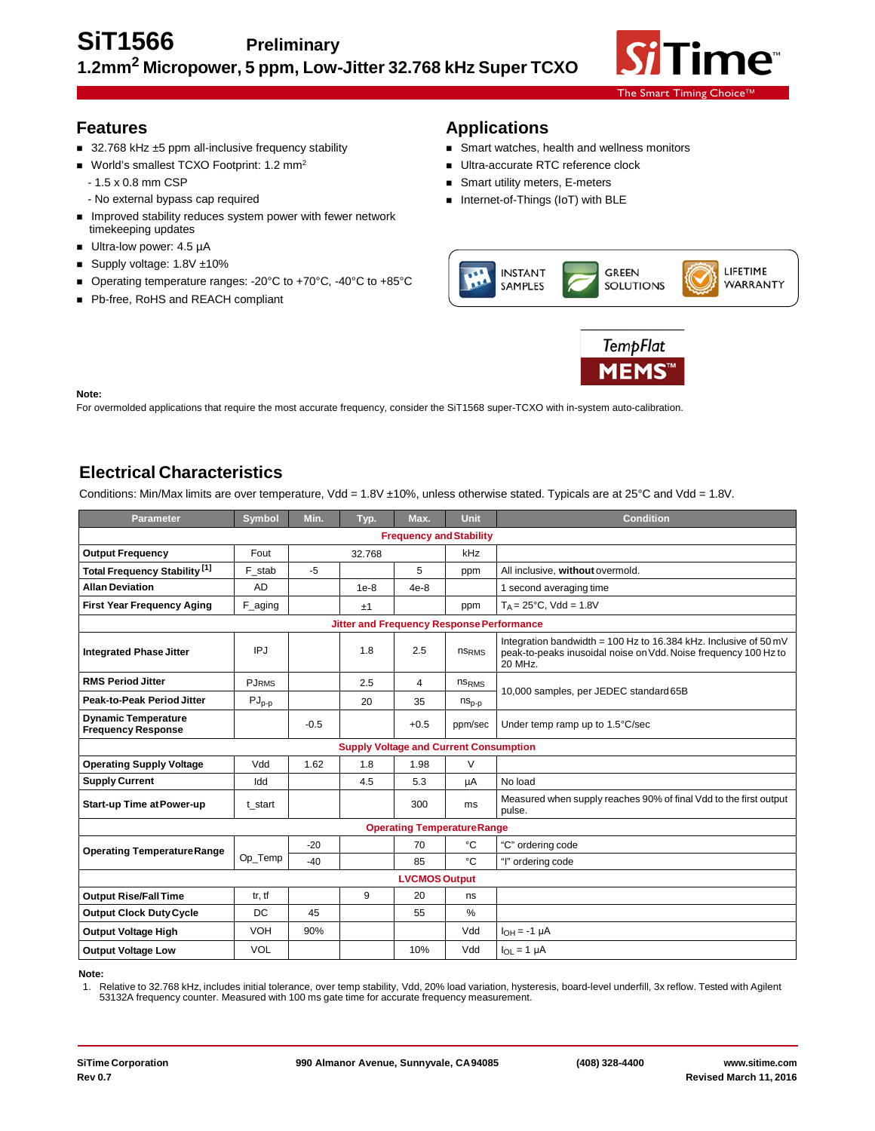

### **Features**

- 32.768 kHz ±5 ppm all-inclusive frequency stability
- World's smallest TCXO Footprint: 1.2 mm<sup>2</sup>
	- 1.5 x 0.8 mm CSP
	- No external bypass cap required
- **IMPROVED STABILITY REDUCES SYSTEM POWER WITH THE IMPROVER I** timekeeping updates
- Ultra-low power: 4.5 µA
- Supply voltage: 1.8V ±10%
- Operating temperature ranges: -20°C to +70°C, -40°C to +85°C
- Pb-free, RoHS and REACH compliant

# **Applications**

- **Smart watches, health and wellness monitors**
- Ultra-accurate RTC reference clock
- Smart utility meters, E-meters
- Internet-of-Things (IoT) with BLE





#### **Note:**

For overmolded applications that require the most accurate frequency, consider the SiT1568 super-TCXO with in-system auto-calibration.

## **Electrical Characteristics**

Conditions: Min/Max limits are over temperature, Vdd = 1.8V ±10%, unless otherwise stated. Typicals are at 25°C and Vdd = 1.8V.

| <b>Parameter</b>                                        | Symbol       | Min.   | Typ.                                          | Max.           | <b>Unit</b>                        | <b>Condition</b>                                                                                                                               |  |
|---------------------------------------------------------|--------------|--------|-----------------------------------------------|----------------|------------------------------------|------------------------------------------------------------------------------------------------------------------------------------------------|--|
| <b>Frequency and Stability</b>                          |              |        |                                               |                |                                    |                                                                                                                                                |  |
| <b>Output Frequency</b>                                 | Fout         | 32.768 |                                               | kHz            |                                    |                                                                                                                                                |  |
| Total Frequency Stability <sup>[1]</sup>                | F stab       | $-5$   |                                               | 5              | ppm                                | All inclusive, without overmold.                                                                                                               |  |
| <b>Allan Deviation</b>                                  | <b>AD</b>    |        | $1e-8$                                        | $4e-8$         |                                    | 1 second averaging time                                                                                                                        |  |
| <b>First Year Frequency Aging</b>                       | $F_{a}$ ging |        | ±1                                            |                | ppm                                | $T_A = 25^{\circ}C$ , Vdd = 1.8V                                                                                                               |  |
| <b>Jitter and Frequency Response Performance</b>        |              |        |                                               |                |                                    |                                                                                                                                                |  |
| <b>Integrated Phase Jitter</b>                          | IPJ          |        | 1.8                                           | 2.5            | ns <sub>RMS</sub>                  | Integration bandwidth = 100 Hz to 16.384 kHz. Inclusive of 50 mV<br>peak-to-peaks inusoidal noise on Vdd. Noise frequency 100 Hz to<br>20 MHz. |  |
| <b>RMS Period Jitter</b>                                | <b>PJRMS</b> |        | 2.5                                           | $\overline{4}$ | ns <sub>RMS</sub>                  |                                                                                                                                                |  |
| Peak-to-Peak Period Jitter                              | $PJ_{p-p}$   |        | 20                                            | 35             | $ns_{p-p}$                         | 10,000 samples, per JEDEC standard 65B                                                                                                         |  |
| <b>Dynamic Temperature</b><br><b>Frequency Response</b> |              | $-0.5$ |                                               | $+0.5$         | ppm/sec                            | Under temp ramp up to 1.5°C/sec                                                                                                                |  |
|                                                         |              |        | <b>Supply Voltage and Current Consumption</b> |                |                                    |                                                                                                                                                |  |
| <b>Operating Supply Voltage</b>                         | Vdd          | 1.62   | 1.8                                           | 1.98           | V                                  |                                                                                                                                                |  |
| <b>Supply Current</b>                                   | Idd          |        | 4.5                                           | 5.3            | μA                                 | No load                                                                                                                                        |  |
| <b>Start-up Time at Power-up</b>                        | t start      |        |                                               | 300            | ms                                 | Measured when supply reaches 90% of final Vdd to the first output<br>pulse.                                                                    |  |
|                                                         |              |        |                                               |                | <b>Operating Temperature Range</b> |                                                                                                                                                |  |
| <b>Operating Temperature Range</b>                      | Op_Temp      | $-20$  |                                               | 70             | °C                                 | "C" ordering code                                                                                                                              |  |
|                                                         |              | $-40$  |                                               | 85             | °C                                 | "I" ordering code                                                                                                                              |  |
| <b>LVCMOS Output</b>                                    |              |        |                                               |                |                                    |                                                                                                                                                |  |
| <b>Output Rise/Fall Time</b>                            | tr, tf       |        | 9                                             | 20             | ns                                 |                                                                                                                                                |  |
| <b>Output Clock Duty Cycle</b>                          | DC           | 45     |                                               | 55             | %                                  |                                                                                                                                                |  |
| <b>Output Voltage High</b>                              | VOH          | 90%    |                                               |                | Vdd                                | $I_{OH} = -1 \mu A$                                                                                                                            |  |
| <b>Output Voltage Low</b>                               | VOL          |        |                                               | 10%            | Vdd                                | $I_{OL} = 1 \mu A$                                                                                                                             |  |

**Note:**

1. Relative to 32.768 kHz, includes initial tolerance, over temp stability, Vdd, 20% load variation, hysteresis, board-level underfill, 3x reflow. Tested with Agilent<br>53132A frequency counter. Measured with 100 ms gate tim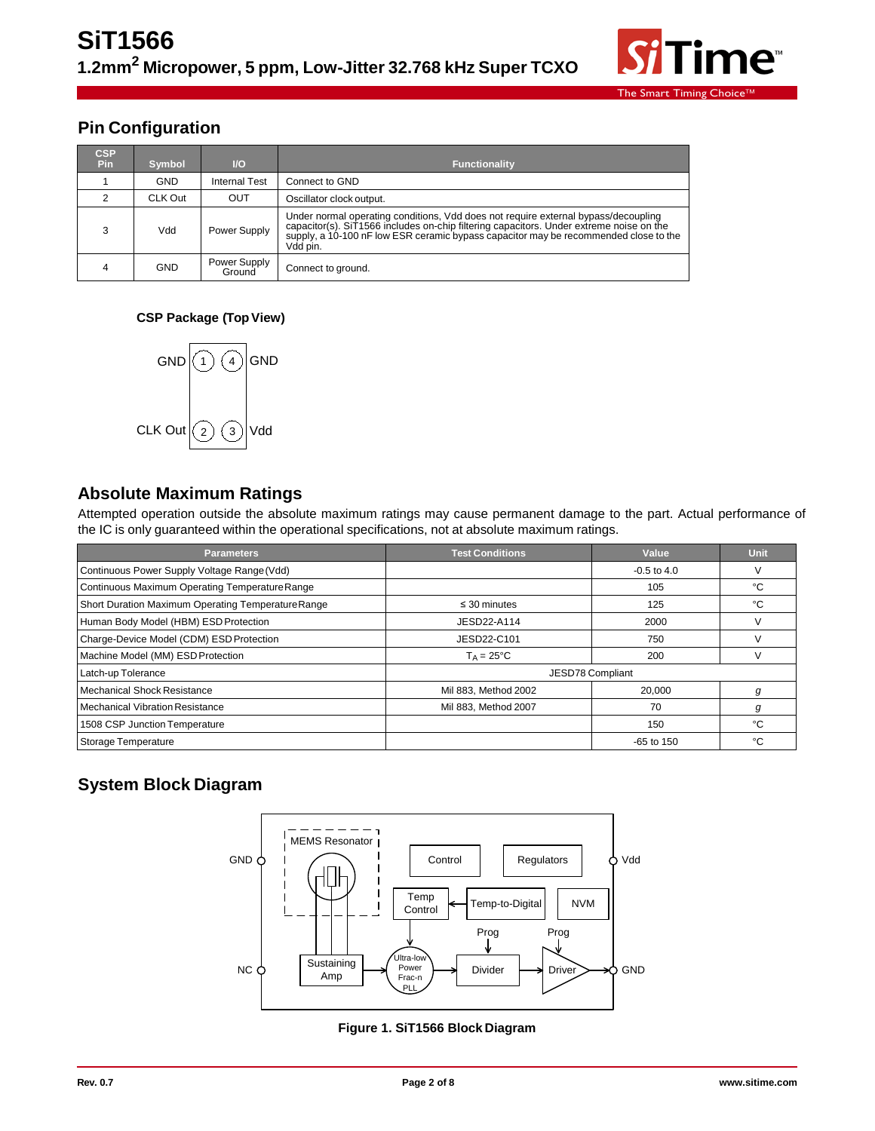

## **Pin Configuration**

| <b>CSP</b><br>Pin | <b>Symbol</b> | $\mathsf{U}\mathsf{O}$ | <b>Functionality</b>                                                                                                                                                                                                                                                              |
|-------------------|---------------|------------------------|-----------------------------------------------------------------------------------------------------------------------------------------------------------------------------------------------------------------------------------------------------------------------------------|
|                   | <b>GND</b>    | <b>Internal Test</b>   | Connect to GND                                                                                                                                                                                                                                                                    |
|                   | CLK Out       | <b>OUT</b>             | Oscillator clock output.                                                                                                                                                                                                                                                          |
| 3                 | Vdd           | Power Supply           | Under normal operating conditions, Vdd does not require external bypass/decoupling<br>capacitor(s). SiT1566 includes on-chip filtering capacitors. Under extreme noise on the<br>supply, a 10-100 nF low ESR ceramic bypass capacitor may be recommended close to the<br>Vdd pin. |
| 4                 | <b>GND</b>    | Power Supply<br>Ground | Connect to ground.                                                                                                                                                                                                                                                                |

#### **CSP Package (TopView)**



### **Absolute Maximum Ratings**

Attempted operation outside the absolute maximum ratings may cause permanent damage to the part. Actual performance of the IC is only guaranteed within the operational specifications, not at absolute maximum ratings.

| <b>Parameters</b>                                  | <b>Test Conditions</b> | Value            | Unit |
|----------------------------------------------------|------------------------|------------------|------|
| Continuous Power Supply Voltage Range (Vdd)        |                        | $-0.5$ to 4.0    | ٧    |
| Continuous Maximum Operating Temperature Range     |                        | 105              | °C   |
| Short Duration Maximum Operating Temperature Range | $\leq$ 30 minutes      | 125              | °C   |
| Human Body Model (HBM) ESD Protection              | JESD22-A114            | 2000             | V    |
| Charge-Device Model (CDM) ESD Protection           | JESD22-C101            | 750              | V    |
| Machine Model (MM) ESD Protection                  | $T_A = 25^{\circ}C$    | 200              | V    |
| Latch-up Tolerance                                 |                        | JESD78 Compliant |      |
| Mechanical Shock Resistance                        | Mil 883, Method 2002   | 20,000           | g    |
| <b>Mechanical Vibration Resistance</b>             | Mil 883, Method 2007   | 70               | g    |
| 1508 CSP Junction Temperature                      |                        | 150              | °С   |
| <b>Storage Temperature</b>                         |                        | $-65$ to $150$   | °€   |

# **System Block Diagram**



**Figure 1. SiT1566 Block Diagram**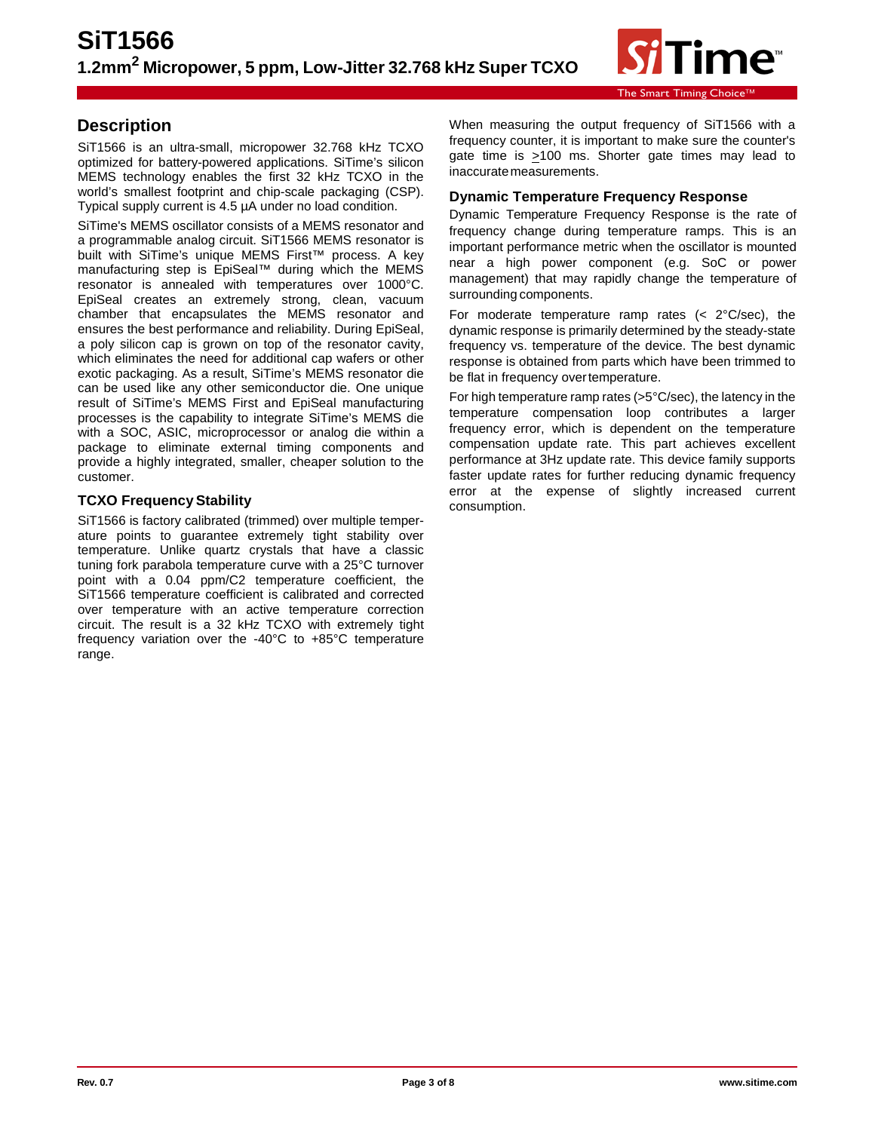

### **Description**

SiT1566 is an ultra-small, micropower 32.768 kHz TCXO optimized for battery-powered applications. SiTime's silicon MEMS technology enables the first 32 kHz TCXO in the world's smallest footprint and chip-scale packaging (CSP). Typical supply current is 4.5 µA under no load condition.

SiTime's MEMS oscillator consists of a MEMS resonator and a programmable analog circuit. SiT1566 MEMS resonator is built with SiTime's unique MEMS First™ process. A key manufacturing step is EpiSeal™ during which the MEMS resonator is annealed with temperatures over 1000°C. EpiSeal creates an extremely strong, clean, vacuum chamber that encapsulates the MEMS resonator and ensures the best performance and reliability. During EpiSeal, a poly silicon cap is grown on top of the resonator cavity, which eliminates the need for additional cap wafers or other exotic packaging. As a result, SiTime's MEMS resonator die can be used like any other semiconductor die. One unique result of SiTime's MEMS First and EpiSeal manufacturing processes is the capability to integrate SiTime's MEMS die with a SOC, ASIC, microprocessor or analog die within a package to eliminate external timing components and provide a highly integrated, smaller, cheaper solution to the customer.

#### **TCXO Frequency Stability**

SiT1566 is factory calibrated (trimmed) over multiple temperature points to guarantee extremely tight stability over temperature. Unlike quartz crystals that have a classic tuning fork parabola temperature curve with a 25°C turnover point with a 0.04 ppm/C2 temperature coefficient, the SiT1566 temperature coefficient is calibrated and corrected over temperature with an active temperature correction circuit. The result is a 32 kHz TCXO with extremely tight frequency variation over the -40°C to +85°C temperature range.

When measuring the output frequency of SiT1566 with a frequency counter, it is important to make sure the counter's gate time is >100 ms. Shorter gate times may lead to inaccurate measurements.

#### **Dynamic Temperature Frequency Response**

Dynamic Temperature Frequency Response is the rate of frequency change during temperature ramps. This is an important performance metric when the oscillator is mounted near a high power component (e.g. SoC or power management) that may rapidly change the temperature of surrounding components.

For moderate temperature ramp rates  $( $2^{\circ}$ C/sec)$ , the dynamic response is primarily determined by the steady-state frequency vs. temperature of the device. The best dynamic response is obtained from parts which have been trimmed to be flat in frequency overtemperature.

For high temperature ramp rates (>5°C/sec), the latency in the temperature compensation loop contributes a larger frequency error, which is dependent on the temperature compensation update rate. This part achieves excellent performance at 3Hz update rate. This device family supports faster update rates for further reducing dynamic frequency error at the expense of slightly increased current consumption.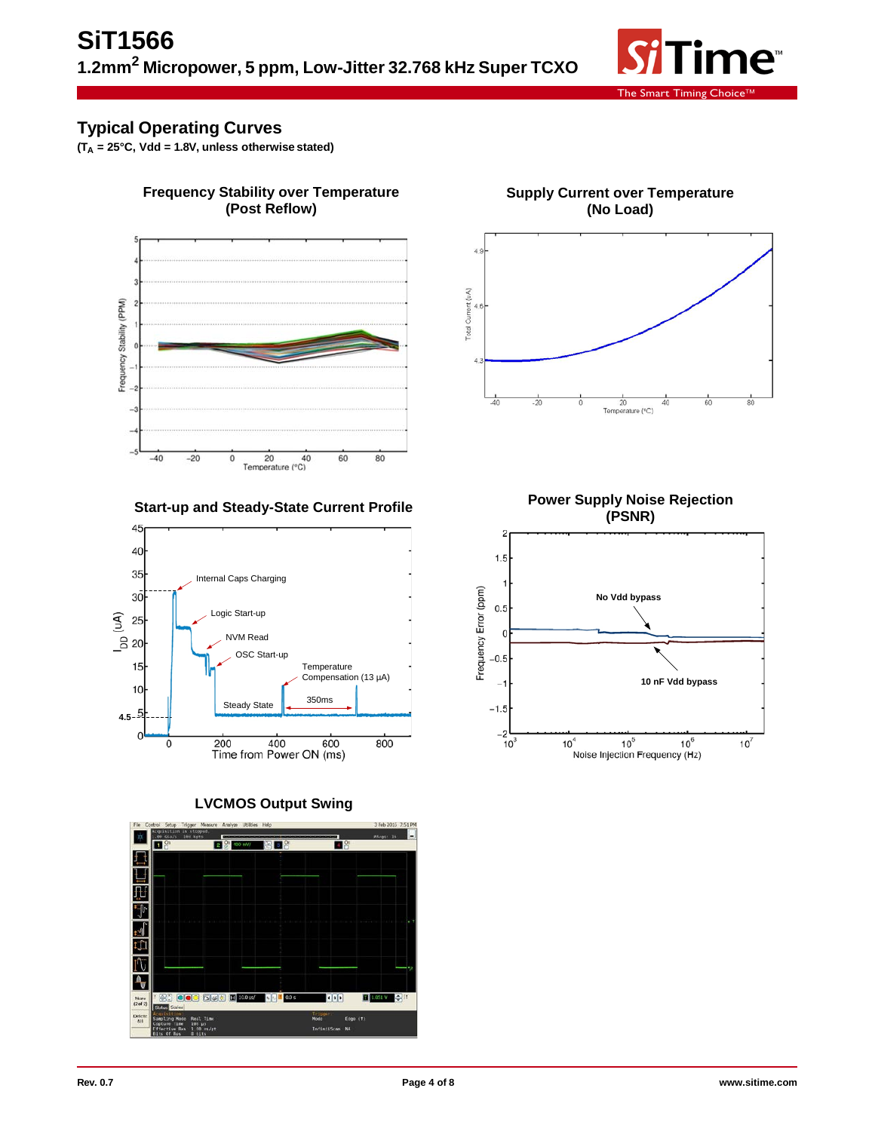

### **Typical Operating Curves**

 $(T_A = 25^{\circ}C, Vdd = 1.8V, unless otherwise stated)$ 



**Frequency Stability over Temperature**

### **Start-up and Steady-State Current Profile**



**LVCMOS Output Swing**



**Supply Current over Temperature (No Load)**



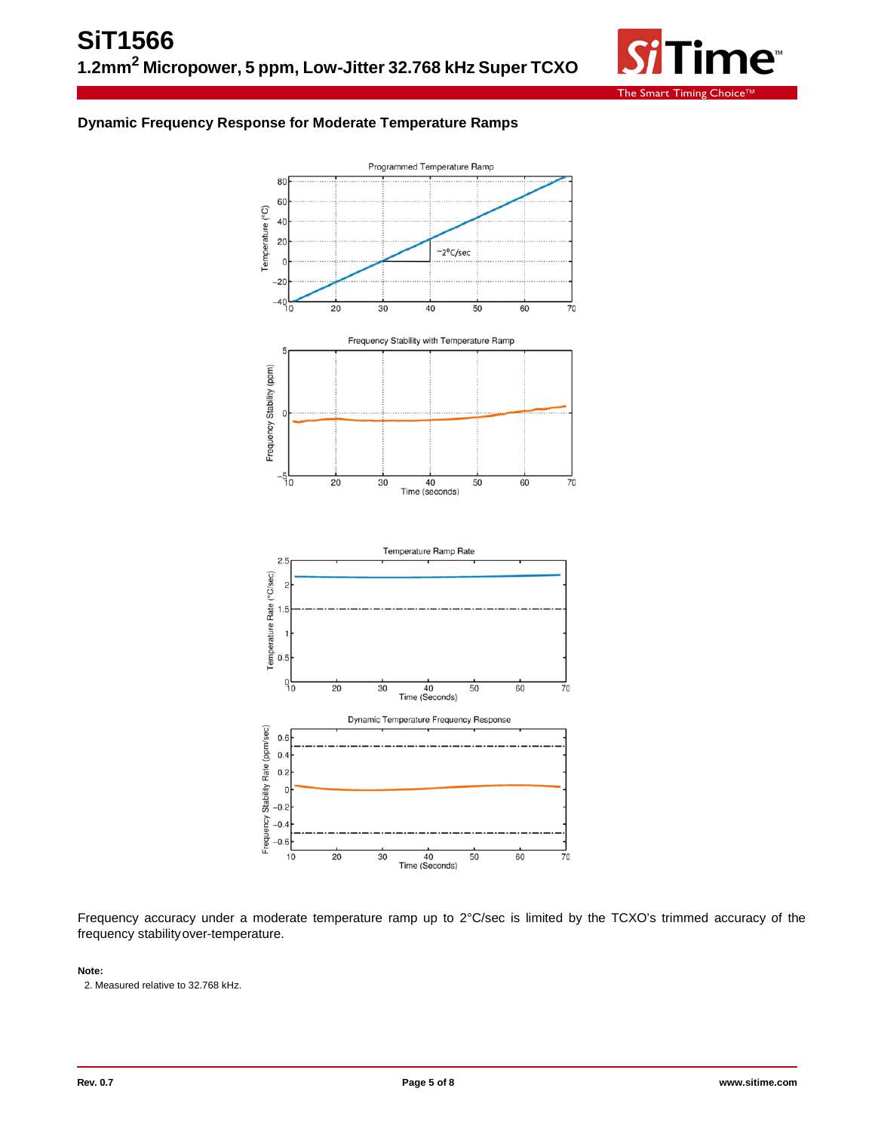

#### **Dynamic Frequency Response for Moderate Temperature Ramps**



Frequency accuracy under a moderate temperature ramp up to 2°C/sec is limited by the TCXO's trimmed accuracy of the frequency stabilityover-temperature.

#### **Note:**

2. Measured relative to 32.768 kHz.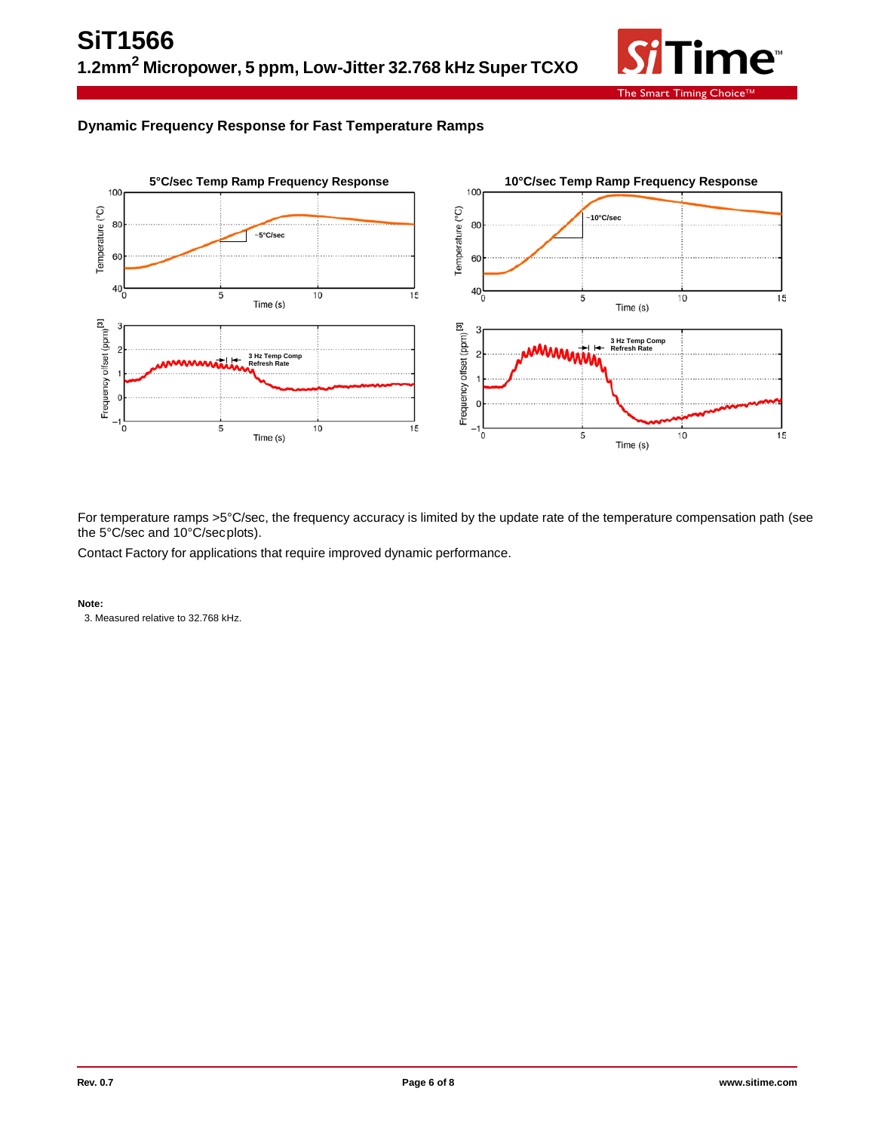

### **Dynamic Frequency Response for Fast Temperature Ramps**



For temperature ramps >5°C/sec, the frequency accuracy is limited by the update rate of the temperature compensation path (see the 5°C/sec and 10°C/secplots).

Contact Factory for applications that require improved dynamic performance.

**Note:**

3. Measured relative to 32.768 kHz.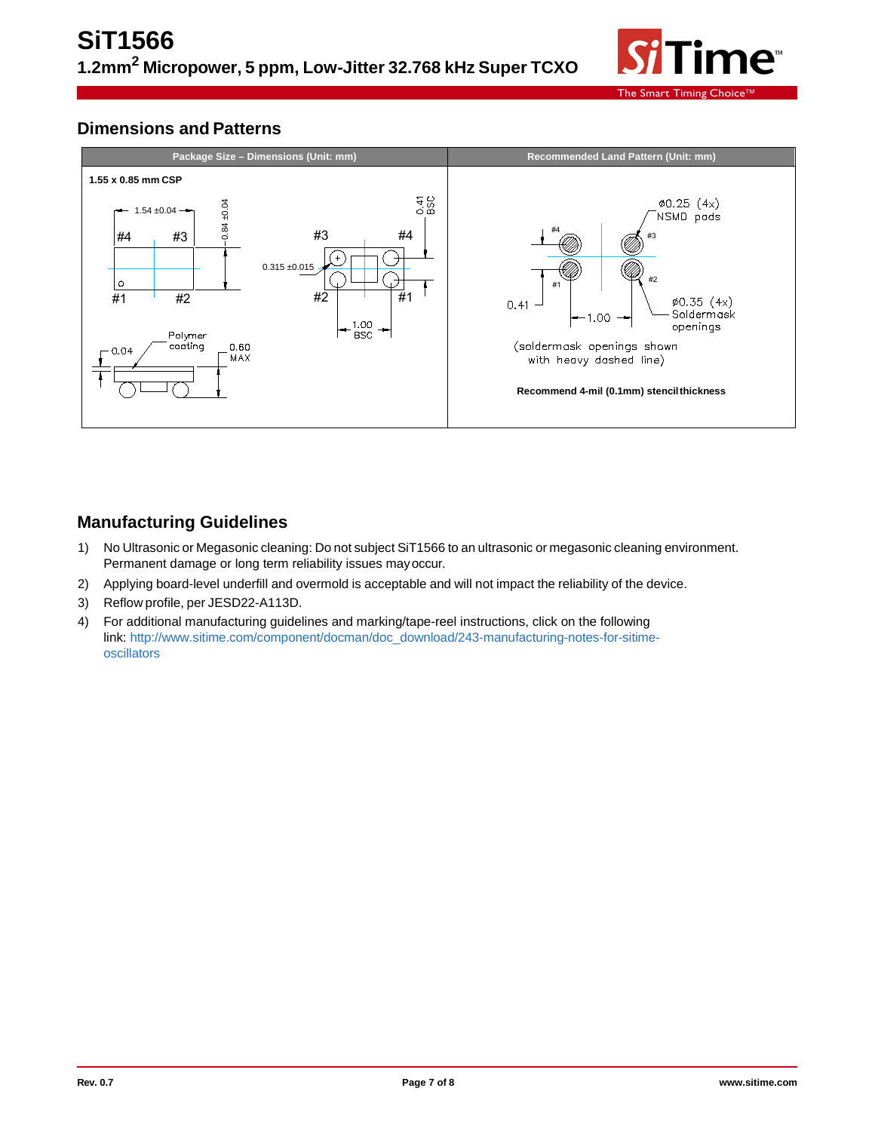

### **Dimensions and Patterns**



### **Manufacturing Guidelines**

- 1) No Ultrasonic or Megasonic cleaning: Do not subject SiT1566 to an ultrasonic or megasonic cleaning environment. Permanent damage or long term reliability issues mayoccur.
- 2) Applying board-level underfill and overmold is acceptable and will not impact the reliability of the device.
- 3) Reflow profile, per JESD22-A113D.
- 4) For additional manufacturing guidelines and marking/tape-reel instructions, click on the following link: [http://www.sitime.com/component/docman/doc\\_download/243-manufacturing-notes-for-sitime](http://www.sitime.com/component/docman/doc_download/243-manufacturing-notes-for-sitime-oscillators)[oscillators](http://www.sitime.com/component/docman/doc_download/243-manufacturing-notes-for-sitime-oscillators)